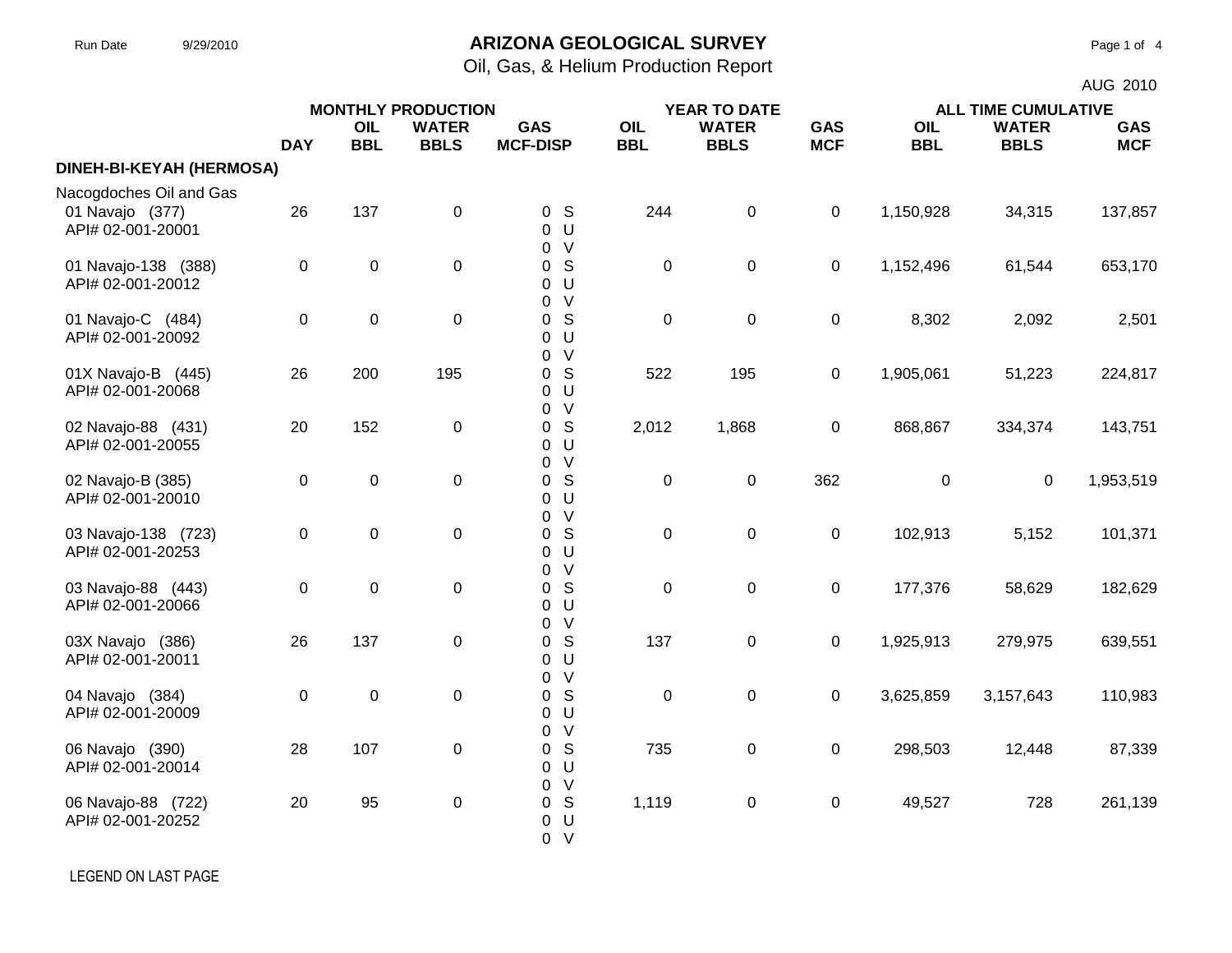#### Run Date 9/29/2010 **ARIZONA GEOLOGICAL SURVEY** Page 1 of 4

Oil, Gas, & Helium Production Report

|                                          |                | <b>MONTHLY PRODUCTION</b> |              |                                                  |            |              |             | AUG 2010   |                            |            |  |
|------------------------------------------|----------------|---------------------------|--------------|--------------------------------------------------|------------|--------------|-------------|------------|----------------------------|------------|--|
|                                          |                |                           |              |                                                  |            | YEAR TO DATE |             |            | <b>ALL TIME CUMULATIVE</b> |            |  |
|                                          |                | OIL                       | <b>WATER</b> | <b>GAS</b>                                       | OIL        | <b>WATER</b> | <b>GAS</b>  | OIL        | <b>WATER</b>               | <b>GAS</b> |  |
|                                          | <b>DAY</b>     | <b>BBL</b>                | <b>BBLS</b>  | <b>MCF-DISP</b>                                  | <b>BBL</b> | <b>BBLS</b>  | <b>MCF</b>  | <b>BBL</b> | <b>BBLS</b>                | <b>MCF</b> |  |
| DINEH-BI-KEYAH (HERMOSA)                 |                |                           |              |                                                  |            |              |             |            |                            |            |  |
| Nacogdoches Oil and Gas                  |                |                           |              |                                                  |            |              |             |            |                            |            |  |
| 01 Navajo (377)<br>API# 02-001-20001     | 26             | 137                       | $\pmb{0}$    | 0 <sup>5</sup><br>0 <sup>U</sup><br>0 V          | 244        | $\pmb{0}$    | $\mathbf 0$ | 1,150,928  | 34,315                     | 137,857    |  |
| 01 Navajo-138 (388)<br>API# 02-001-20012 | $\mathbf 0$    | $\mathbf 0$               | $\pmb{0}$    | 0 <sup>5</sup><br>0 <sub>U</sub><br>0 V          | $\pmb{0}$  | $\pmb{0}$    | $\mathbf 0$ | 1,152,496  | 61,544                     | 653,170    |  |
| 01 Navajo-C (484)<br>API# 02-001-20092   | 0              | $\boldsymbol{0}$          | $\pmb{0}$    | S<br>$\mathbf 0$<br>0 <sub>U</sub><br>0 V        | $\pmb{0}$  | $\pmb{0}$    | 0           | 8,302      | 2,092                      | 2,501      |  |
| 01X Navajo-B (445)<br>API# 02-001-20068  | 26             | 200                       | 195          | 0 <sup>5</sup><br>0 <sup>U</sup><br>0 V          | 522        | 195          | $\mathbf 0$ | 1,905,061  | 51,223                     | 224,817    |  |
| 02 Navajo-88 (431)<br>API# 02-001-20055  | 20             | 152                       | $\pmb{0}$    | S<br>$\overline{0}$<br>0 <sub>U</sub><br>0 V     | 2,012      | 1,868        | $\mathbf 0$ | 868,867    | 334,374                    | 143,751    |  |
| 02 Navajo-B (385)<br>API# 02-001-20010   | 0              | $\mathbf 0$               | $\pmb{0}$    | S<br>$\overline{0}$<br>0 <sup>U</sup><br>0 V     | $\pmb{0}$  | $\pmb{0}$    | 362         | 0          | $\mathbf 0$                | 1,953,519  |  |
| 03 Navajo-138 (723)<br>API# 02-001-20253 | $\overline{0}$ | $\mathbf 0$               | $\pmb{0}$    | 0 <sup>5</sup><br>0 <sub>U</sub><br>0 V          | $\pmb{0}$  | $\pmb{0}$    | $\mathbf 0$ | 102,913    | 5,152                      | 101,371    |  |
| 03 Navajo-88 (443)<br>API# 02-001-20066  | 0              | $\mathbf 0$               | $\pmb{0}$    | S<br>$\overline{0}$<br>0 <sub>U</sub><br>0 V     | $\pmb{0}$  | $\pmb{0}$    | $\mathbf 0$ | 177,376    | 58,629                     | 182,629    |  |
| 03X Navajo (386)<br>API# 02-001-20011    | 26             | 137                       | $\mathbf 0$  | 0 <sup>5</sup><br>0 <sup>U</sup><br>0 V          | 137        | $\mathbf 0$  | 0           | 1,925,913  | 279,975                    | 639,551    |  |
| 04 Navajo (384)<br>API# 02-001-20009     | 0              | $\mathbf 0$               | $\pmb{0}$    | S<br>$\overline{0}$<br>0 <sub>U</sub><br>0 V     | $\pmb{0}$  | $\pmb{0}$    | $\mathbf 0$ | 3,625,859  | 3,157,643                  | 110,983    |  |
| 06 Navajo (390)<br>API# 02-001-20014     | 28             | 107                       | $\pmb{0}$    | 0 <sup>5</sup><br>0 <sup>U</sup>                 | 735        | $\pmb{0}$    | $\mathbf 0$ | 298,503    | 12,448                     | 87,339     |  |
| 06 Navajo-88 (722)<br>API# 02-001-20252  | 20             | 95                        | $\mathbf 0$  | 0 V<br>0 <sup>5</sup><br>$\mathbf 0$<br>U<br>0 V | 1,119      | $\pmb{0}$    | $\mathbf 0$ | 49,527     | 728                        | 261,139    |  |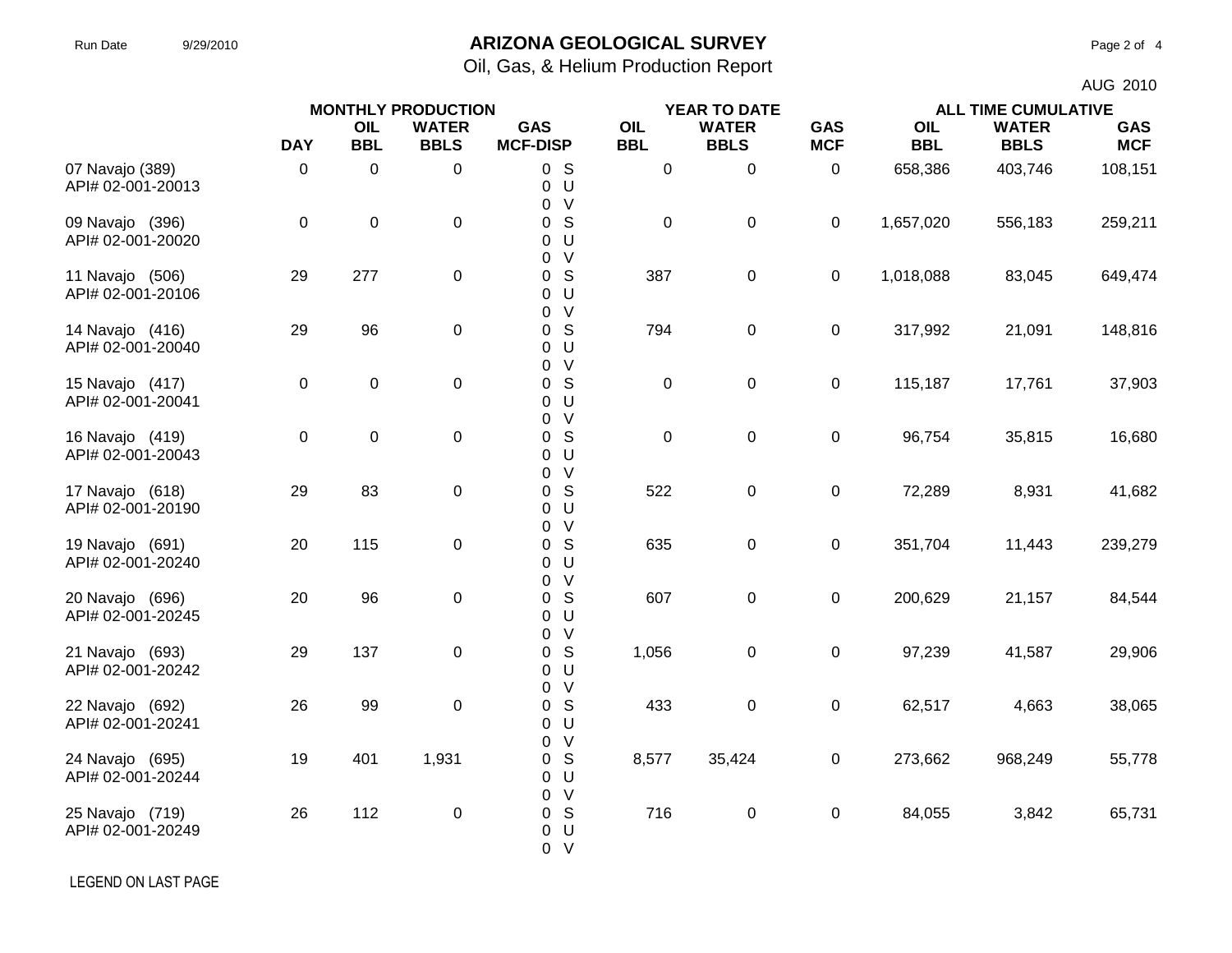# Run Date 9/29/2010 **ARIZONA GEOLOGICAL SURVEY** Page 2 of 4

Oil, Gas, & Helium Production Report

|                                      | <b>MONTHLY PRODUCTION</b> |                   |                             |                                           |                   |                             | AUG 2010                 |                            |                             |                          |
|--------------------------------------|---------------------------|-------------------|-----------------------------|-------------------------------------------|-------------------|-----------------------------|--------------------------|----------------------------|-----------------------------|--------------------------|
|                                      |                           |                   |                             |                                           | YEAR TO DATE      |                             |                          | <b>ALL TIME CUMULATIVE</b> |                             |                          |
|                                      | <b>DAY</b>                | OIL<br><b>BBL</b> | <b>WATER</b><br><b>BBLS</b> | <b>GAS</b><br><b>MCF-DISP</b>             | OIL<br><b>BBL</b> | <b>WATER</b><br><b>BBLS</b> | <b>GAS</b><br><b>MCF</b> | OIL<br><b>BBL</b>          | <b>WATER</b><br><b>BBLS</b> | <b>GAS</b><br><b>MCF</b> |
| 07 Navajo (389)<br>API# 02-001-20013 | 0                         | 0                 | 0                           | 0S<br>U<br>0<br>$\vee$<br>0               | $\pmb{0}$         | $\pmb{0}$                   | $\pmb{0}$                | 658,386                    | 403,746                     | 108,151                  |
| 09 Navajo (396)<br>API# 02-001-20020 | $\pmb{0}$                 | $\pmb{0}$         | $\pmb{0}$                   | 0 <sup>5</sup><br>U<br>0<br>$\vee$<br>0   | $\boldsymbol{0}$  | $\mathsf 0$                 | 0                        | 1,657,020                  | 556,183                     | 259,211                  |
| 11 Navajo (506)<br>API# 02-001-20106 | 29                        | 277               | 0                           | S<br>0<br>0 <sub>U</sub><br>$\vee$<br>0   | 387               | $\mathbf 0$                 | 0                        | 1,018,088                  | 83,045                      | 649,474                  |
| 14 Navajo (416)<br>API# 02-001-20040 | 29                        | 96                | 0                           | S<br>0<br>U<br>0<br>V                     | 794               | $\pmb{0}$                   | $\pmb{0}$                | 317,992                    | 21,091                      | 148,816                  |
| 15 Navajo (417)<br>API# 02-001-20041 | 0                         | $\pmb{0}$         | 0                           | 0<br>S<br>0<br>U<br>0<br>0 V              | $\boldsymbol{0}$  | $\pmb{0}$                   | $\pmb{0}$                | 115,187                    | 17,761                      | 37,903                   |
| 16 Navajo (419)<br>API# 02-001-20043 | 0                         | $\pmb{0}$         | 0                           | S<br>0<br>U<br>0<br>V<br>$\Omega$         | $\boldsymbol{0}$  | $\mathbf 0$                 | 0                        | 96,754                     | 35,815                      | 16,680                   |
| 17 Navajo (618)<br>API# 02-001-20190 | 29                        | 83                | 0                           | S<br>$\overline{0}$<br>U<br>0<br>$\vee$   | 522               | $\pmb{0}$                   | $\pmb{0}$                | 72,289                     | 8,931                       | 41,682                   |
| 19 Navajo (691)<br>API# 02-001-20240 | 20                        | 115               | 0                           | 0<br>0 S<br>U<br>0<br>$\vee$              | 635               | $\mathsf 0$                 | $\pmb{0}$                | 351,704                    | 11,443                      | 239,279                  |
| 20 Navajo (696)<br>API# 02-001-20245 | 20                        | 96                | $\mathbf 0$                 | 0<br>S<br>0<br>U<br>0                     | 607               | $\mathbf 0$                 | 0                        | 200,629                    | 21,157                      | 84,544                   |
| 21 Navajo (693)<br>API# 02-001-20242 | 29                        | 137               | 0                           | $\vee$<br>0<br>S<br>0<br>0 <sup>U</sup>   | 1,056             | $\pmb{0}$                   | $\pmb{0}$                | 97,239                     | 41,587                      | 29,906                   |
| 22 Navajo (692)<br>API# 02-001-20241 | 26                        | 99                | 0                           | V<br>0<br>S<br>0<br>U<br>0                | 433               | $\mathbf 0$                 | 0                        | 62,517                     | 4,663                       | 38,065                   |
| 24 Navajo (695)<br>API# 02-001-20244 | 19                        | 401               | 1,931                       | $\vee$<br>0<br>S<br>0<br>U<br>0           | 8,577             | 35,424                      | 0                        | 273,662                    | 968,249                     | 55,778                   |
| 25 Navajo (719)<br>API# 02-001-20249 | 26                        | 112               | $\mathsf 0$                 | 0 V<br>S<br>0<br>U<br>0<br>0 <sub>V</sub> | 716               | $\pmb{0}$                   | $\pmb{0}$                | 84,055                     | 3,842                       | 65,731                   |

LEGEND ON LAST PAGE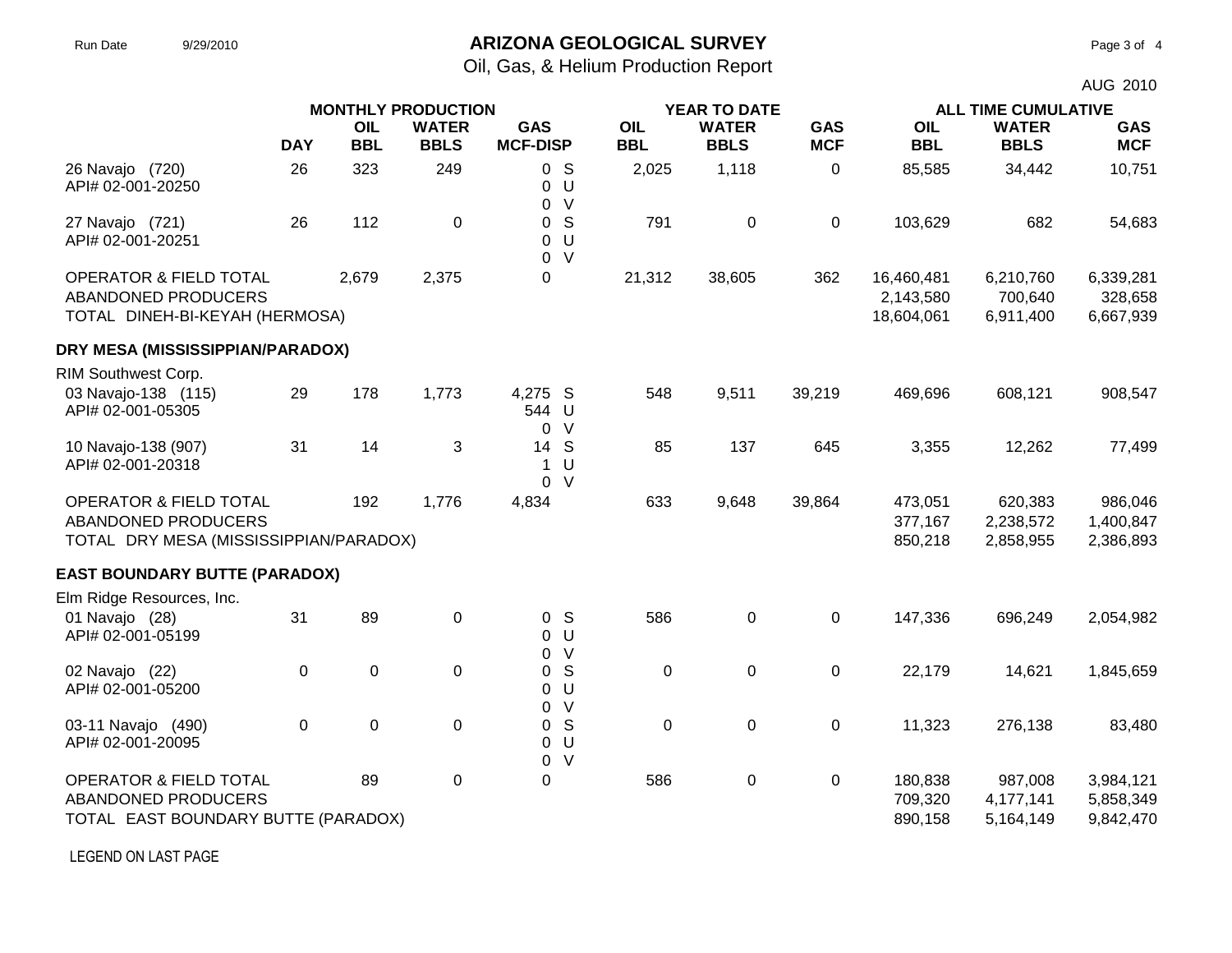# Run Date 9/29/2010 **ARIZONA GEOLOGICAL SURVEY** Page 3 of 4

Oil, Gas, & Helium Production Report

|                                                                                                    | <b>MONTHLY PRODUCTION</b> |             |              |                      |                                         |             |              |             |                                       | AUG 2010<br><b>ALL TIME CUMULATIVE</b> |                                     |  |  |
|----------------------------------------------------------------------------------------------------|---------------------------|-------------|--------------|----------------------|-----------------------------------------|-------------|--------------|-------------|---------------------------------------|----------------------------------------|-------------------------------------|--|--|
|                                                                                                    |                           |             |              |                      |                                         |             | YEAR TO DATE |             |                                       |                                        |                                     |  |  |
|                                                                                                    |                           | OIL         | <b>WATER</b> | <b>GAS</b>           |                                         | OIL         | <b>WATER</b> | <b>GAS</b>  | OIL                                   | <b>WATER</b>                           | <b>GAS</b>                          |  |  |
|                                                                                                    | <b>DAY</b>                | <b>BBL</b>  | <b>BBLS</b>  | <b>MCF-DISP</b>      |                                         | <b>BBL</b>  | <b>BBLS</b>  | <b>MCF</b>  | <b>BBL</b>                            | <b>BBLS</b>                            | <b>MCF</b>                          |  |  |
| 26 Navajo (720)<br>API# 02-001-20250                                                               | 26                        | 323         | 249          |                      | 0 <sup>5</sup><br>0 <sup>U</sup><br>0 V | 2,025       | 1,118        | $\mathbf 0$ | 85,585                                | 34,442                                 | 10,751                              |  |  |
| 27 Navajo (721)<br>API# 02-001-20251                                                               | 26                        | 112         | 0            | 0<br>$\overline{0}$  | 0 <sup>5</sup><br>U<br>$\vee$           | 791         | 0            | $\mathbf 0$ | 103,629                               | 682                                    | 54,683                              |  |  |
| OPERATOR & FIELD TOTAL<br>ABANDONED PRODUCERS<br>TOTAL DINEH-BI-KEYAH (HERMOSA)                    |                           | 2,679       | 2,375        | 0                    |                                         | 21,312      | 38,605       | 362         | 16,460,481<br>2,143,580<br>18,604,061 | 6,210,760<br>700,640<br>6,911,400      | 6,339,281<br>328,658<br>6,667,939   |  |  |
| DRY MESA (MISSISSIPPIAN/PARADOX)                                                                   |                           |             |              |                      |                                         |             |              |             |                                       |                                        |                                     |  |  |
| RIM Southwest Corp.                                                                                |                           |             |              |                      |                                         |             |              |             |                                       |                                        |                                     |  |  |
| 03 Navajo-138 (115)<br>API# 02-001-05305                                                           | 29                        | 178         | 1,773        | 4,275 S<br>544 U     | 0 V                                     | 548         | 9,511        | 39,219      | 469,696                               | 608,121                                | 908,547                             |  |  |
| 10 Navajo-138 (907)<br>API# 02-001-20318                                                           | 31                        | 14          | 3            | 14 S<br>$\mathbf{1}$ | U<br>0 V                                | 85          | 137          | 645         | 3,355                                 | 12,262                                 | 77,499                              |  |  |
| <b>OPERATOR &amp; FIELD TOTAL</b><br>ABANDONED PRODUCERS<br>TOTAL DRY MESA (MISSISSIPPIAN/PARADOX) |                           | 192         | 1,776        | 4,834                |                                         | 633         | 9,648        | 39,864      | 473,051<br>377,167<br>850,218         | 620,383<br>2,238,572<br>2,858,955      | 986,046<br>1,400,847<br>2,386,893   |  |  |
| <b>EAST BOUNDARY BUTTE (PARADOX)</b>                                                               |                           |             |              |                      |                                         |             |              |             |                                       |                                        |                                     |  |  |
| Elm Ridge Resources, Inc.                                                                          |                           |             |              |                      |                                         |             |              |             |                                       |                                        |                                     |  |  |
| 01 Navajo (28)<br>API# 02-001-05199                                                                | 31                        | 89          | 0            |                      | 0 <sup>5</sup><br>0 <sup>U</sup><br>0 V | 586         | 0            | $\mathbf 0$ | 147,336                               | 696,249                                | 2,054,982                           |  |  |
| 02 Navajo (22)<br>API# 02-001-05200                                                                | 0                         | $\pmb{0}$   | 0            | 0                    | S<br>0 <sub>U</sub><br>0 V              | $\mathbf 0$ | 0            | $\mathbf 0$ | 22,179                                | 14,621                                 | 1,845,659                           |  |  |
| 03-11 Navajo (490)<br>API# 02-001-20095                                                            | 0                         | $\mathbf 0$ | 0            | $\overline{0}$       | 0 <sup>5</sup><br>U<br>0 V              | $\mathbf 0$ | 0            | 0           | 11,323                                | 276,138                                | 83,480                              |  |  |
| <b>OPERATOR &amp; FIELD TOTAL</b><br>ABANDONED PRODUCERS<br>TOTAL EAST BOUNDARY BUTTE (PARADOX)    |                           | 89          | 0            | 0                    |                                         | 586         | 0            | 0           | 180,838<br>709,320<br>890,158         | 987,008<br>4,177,141<br>5,164,149      | 3,984,121<br>5,858,349<br>9,842,470 |  |  |

LEGEND ON LAST PAGE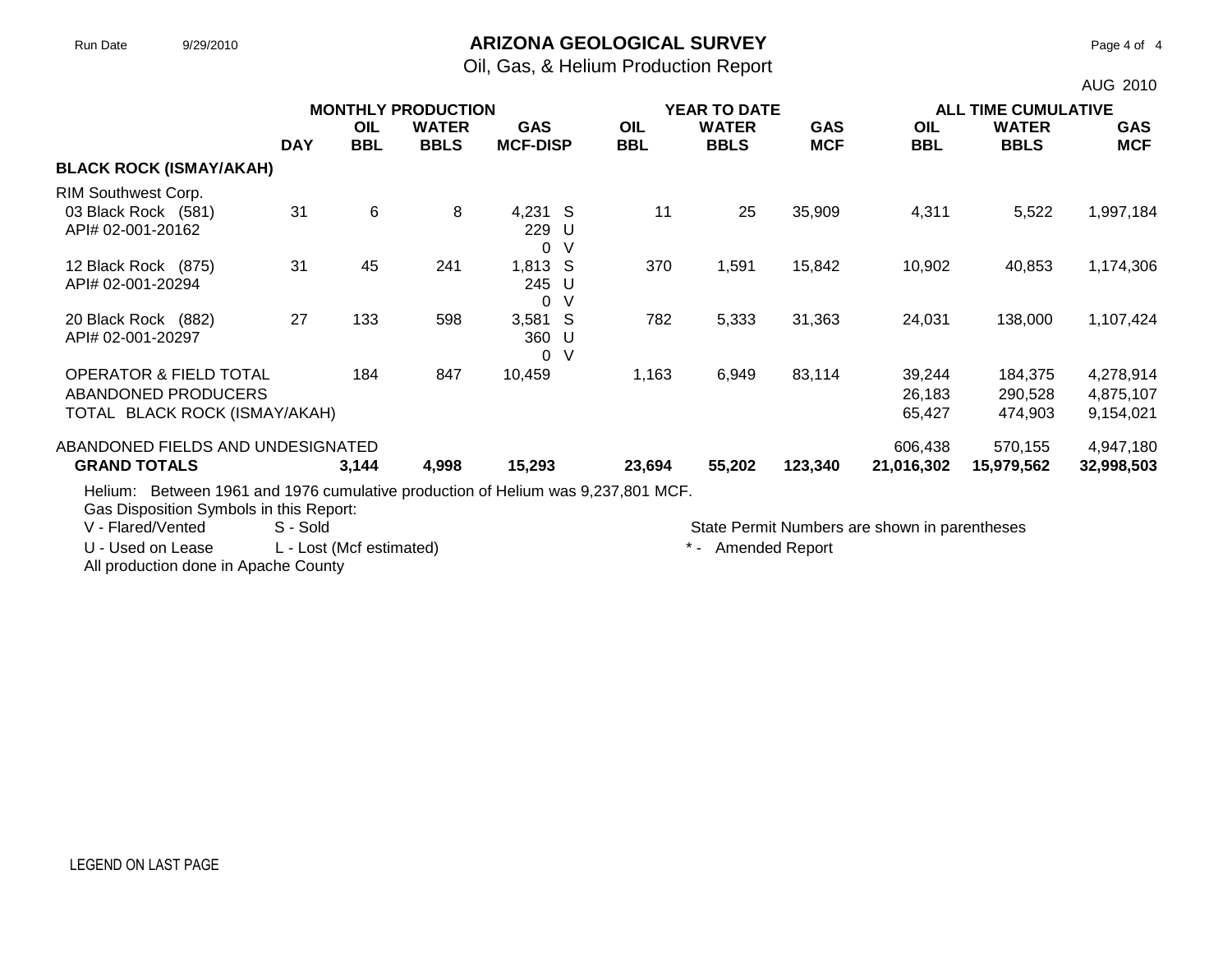#### Run Date 9/29/2010 **ARIZONA GEOLOGICAL SURVEY** Page 4 of 4

Oil, Gas, & Helium Production Report

|                                                                                  |            |            | <b>MONTHLY PRODUCTION</b>   |                               | <b>YEAR TO DATE</b> |                             |                          |                   | <b>ALL TIME CUMULATIVE</b>  |                          |  |
|----------------------------------------------------------------------------------|------------|------------|-----------------------------|-------------------------------|---------------------|-----------------------------|--------------------------|-------------------|-----------------------------|--------------------------|--|
|                                                                                  | <b>DAY</b> | OIL<br>BBL | <b>WATER</b><br><b>BBLS</b> | <b>GAS</b><br><b>MCF-DISP</b> | OIL<br>BBL          | <b>WATER</b><br><b>BBLS</b> | <b>GAS</b><br><b>MCF</b> | OIL<br><b>BBL</b> | <b>WATER</b><br><b>BBLS</b> | <b>GAS</b><br><b>MCF</b> |  |
| <b>BLACK ROCK (ISMAY/AKAH)</b>                                                   |            |            |                             |                               |                     |                             |                          |                   |                             |                          |  |
| RIM Southwest Corp.                                                              |            |            |                             |                               |                     |                             |                          |                   |                             |                          |  |
| 03 Black Rock (581)<br>API# 02-001-20162                                         | 31         | 6          | 8                           | 4,231 S<br>229 U<br>0<br>-V   | 11                  | 25                          | 35,909                   | 4,311             | 5,522                       | 1,997,184                |  |
| 12 Black Rock (875)<br>API# 02-001-20294                                         | 31         | 45         | 241                         | 1,813 S<br>245 U<br>-V<br>0   | 370                 | 1,591                       | 15,842                   | 10,902            | 40,853                      | 1,174,306                |  |
| 20 Black Rock (882)<br>API# 02-001-20297                                         | 27         | 133        | 598                         | 3,581 S<br>360 U<br>0<br>-V   | 782                 | 5,333                       | 31,363                   | 24,031            | 138,000                     | 1,107,424                |  |
| <b>OPERATOR &amp; FIELD TOTAL</b>                                                |            | 184        | 847                         | 10,459                        | 1,163               | 6,949                       | 83,114                   | 39,244            | 184,375                     | 4,278,914                |  |
| ABANDONED PRODUCERS                                                              |            |            |                             |                               |                     |                             |                          | 26,183            | 290,528                     | 4,875,107                |  |
| TOTAL BLACK ROCK (ISMAY/AKAH)                                                    |            |            |                             |                               |                     |                             |                          | 65,427            | 474,903                     | 9,154,021                |  |
| ABANDONED FIELDS AND UNDESIGNATED                                                |            |            |                             |                               |                     |                             |                          | 606,438           | 570,155                     | 4,947,180                |  |
| <b>GRAND TOTALS</b>                                                              |            | 3,144      | 4,998                       | 15,293                        | 23,694              | 55,202                      | 123,340                  | 21,016,302        | 15,979,562                  | 32,998,503               |  |
| Helium: Between 1961 and 1976 cumulative production of Helium was 9,237,801 MCF. |            |            |                             |                               |                     |                             |                          |                   |                             |                          |  |

Gas Disposition Symbols in this Report:<br>V - Flared/Vented S - Sold

U - Used on Lease L - Lost (Mcf estimated)  $*$  - Amended Report

All production done in Apache County

State Permit Numbers are shown in parentheses

AUG 2010